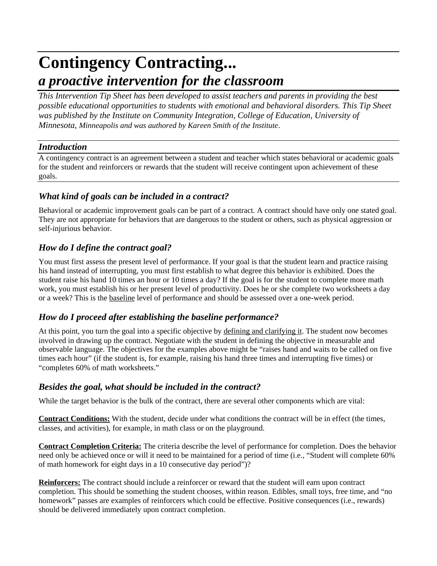# **Contingency Contracting...** *a proactive intervention for the classroom*

*This Intervention Tip Sheet has been developed to assist teachers and parents in providing the best possible educational opportunities to students with emotional and behavioral disorders. This Tip Sheet was published by the Institute on Community Integration, College of Education, University of Minnesota, Minneapolis and was authored by Kareen Smith of the Institute*.

#### *Introduction*

A contingency contract is an agreement between a student and teacher which states behavioral or academic goals for the student and reinforcers or rewards that the student will receive contingent upon achievement of these goals.

# *What kind of goals can be included in a contract?*

Behavioral or academic improvement goals can be part of a contract. A contract should have only one stated goal. They are not appropriate for behaviors that are dangerous to the student or others, such as physical aggression or self-injurious behavior.

# *How do I define the contract goal?*

You must first assess the present level of performance. If your goal is that the student learn and practice raising his hand instead of interrupting, you must first establish to what degree this behavior is exhibited. Does the student raise his hand 10 times an hour or 10 times a day? If the goal is for the student to complete more math work, you must establish his or her present level of productivity. Does he or she complete two worksheets a day or a week? This is the baseline level of performance and should be assessed over a one-week period.

### *How do I proceed after establishing the baseline performance?*

At this point, you turn the goal into a specific objective by defining and clarifying it. The student now becomes involved in drawing up the contract. Negotiate with the student in defining the objective in measurable and observable language. The objectives for the examples above might be "raises hand and waits to be called on five times each hour" (if the student is, for example, raising his hand three times and interrupting five times) or "completes 60% of math worksheets."

### *Besides the goal, what should be included in the contract?*

While the target behavior is the bulk of the contract, there are several other components which are vital:

**Contract Conditions:** With the student, decide under what conditions the contract will be in effect (the times, classes, and activities), for example, in math class or on the playground.

**Contract Completion Criteria:** The criteria describe the level of performance for completion. Does the behavior need only be achieved once or will it need to be maintained for a period of time (i.e., "Student will complete 60% of math homework for eight days in a 10 consecutive day period")?

**Reinforcers:** The contract should include a reinforcer or reward that the student will earn upon contract completion. This should be something the student chooses, within reason. Edibles, small toys, free time, and "no homework" passes are examples of reinforcers which could be effective. Positive consequences (i.e., rewards) should be delivered immediately upon contract completion.